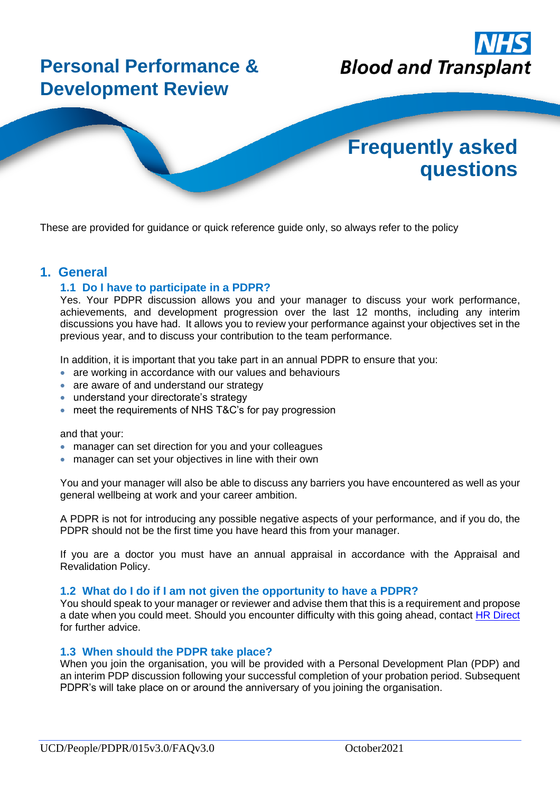

These are provided for guidance or quick reference guide only, so always refer to the policy

## **1. General**

## **1.1 Do I have to participate in a PDPR?**

Yes. Your PDPR discussion allows you and your manager to discuss your work performance, achievements, and development progression over the last 12 months, including any interim discussions you have had. It allows you to review your performance against your objectives set in the previous year, and to discuss your contribution to the team performance.

In addition, it is important that you take part in an annual PDPR to ensure that you:

- are working in accordance with our values and behaviours
- are aware of and understand our strategy
- understand your directorate's strategy
- meet the requirements of NHS T&C's for pay progression

and that your:

- manager can set direction for you and your colleagues
- manager can set your objectives in line with their own

You and your manager will also be able to discuss any barriers you have encountered as well as your general wellbeing at work and your career ambition.

A PDPR is not for introducing any possible negative aspects of your performance, and if you do, the PDPR should not be the first time you have heard this from your manager.

If you are a doctor you must have an annual appraisal in accordance with the Appraisal and Revalidation Policy.

#### **1.2 What do I do if I am not given the opportunity to have a PDPR?**

You should speak to your manager or reviewer and advise them that this is a requirement and propose a date when you could meet. Should you encounter difficulty with this going ahead, contact [HR Direct](https://nhsbt.service-now.com/sp?id=sc_cat_item&sys_id=27d998356fe39d00dbe55dd16e3ee472) for further advice.

#### **1.3 When should the PDPR take place?**

When you join the organisation, you will be provided with a Personal Development Plan (PDP) and an interim PDP discussion following your successful completion of your probation period. Subsequent PDPR's will take place on or around the anniversary of you joining the organisation.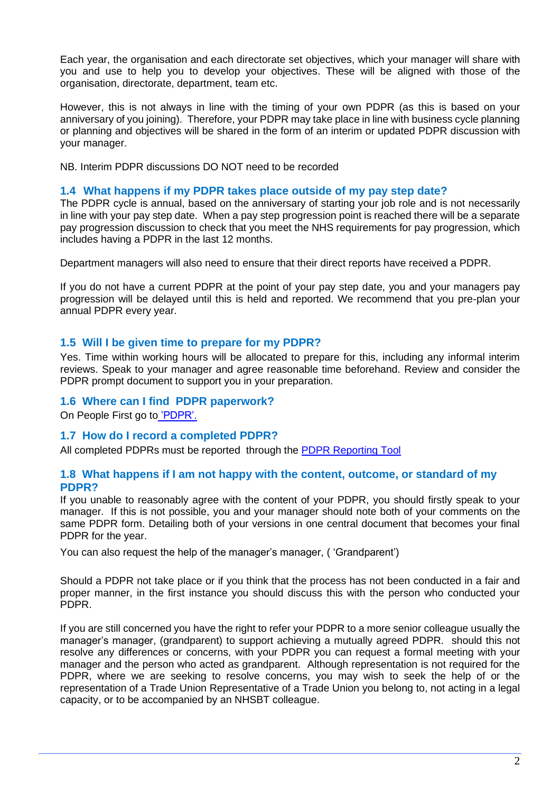Each year, the organisation and each directorate set objectives, which your manager will share with you and use to help you to develop your objectives. These will be aligned with those of the organisation, directorate, department, team etc.

However, this is not always in line with the timing of your own PDPR (as this is based on your anniversary of you joining). Therefore, your PDPR may take place in line with business cycle planning or planning and objectives will be shared in the form of an interim or updated PDPR discussion with your manager.

NB. Interim PDPR discussions DO NOT need to be recorded

#### **1.4 What happens if my PDPR takes place outside of my pay step date?**

The PDPR cycle is annual, based on the anniversary of starting your job role and is not necessarily in line with your pay step date. When a pay step progression point is reached there will be a separate pay progression discussion to check that you meet the NHS requirements for pay progression, which includes having a PDPR in the last 12 months.

Department managers will also need to ensure that their direct reports have received a PDPR.

If you do not have a current PDPR at the point of your pay step date, you and your managers pay progression will be delayed until this is held and reported. We recommend that you pre-plan your annual PDPR every year.

## **1.5 Will I be given time to prepare for my PDPR?**

Yes. Time within working hours will be allocated to prepare for this, including any informal interim reviews. Speak to your manager and agree reasonable time beforehand. Review and consider the PDPR prompt document to support you in your preparation.

#### **1.6 Where can I find PDPR paperwork?**

On People First go to ['PDPR'.](https://peoplefirst.nhsbt.nhs.uk/pdpr.htm)

## **1.7 How do I record a completed PDPR?**

All completed PDPRs must be reported through the [PDPR Reporting Tool](https://nhsbt.onlinesurveys.ac.uk/pdpr-reporting-tool)

#### **1.8 What happens if I am not happy with the content, outcome, or standard of my PDPR?**

If you unable to reasonably agree with the content of your PDPR, you should firstly speak to your manager. If this is not possible, you and your manager should note both of your comments on the same PDPR form. Detailing both of your versions in one central document that becomes your final PDPR for the year.

You can also request the help of the manager's manager, ( 'Grandparent')

Should a PDPR not take place or if you think that the process has not been conducted in a fair and proper manner, in the first instance you should discuss this with the person who conducted your PDPR.

If you are still concerned you have the right to refer your PDPR to a more senior colleague usually the manager's manager, (grandparent) to support achieving a mutually agreed PDPR. should this not resolve any differences or concerns, with your PDPR you can request a formal meeting with your manager and the person who acted as grandparent. Although representation is not required for the PDPR, where we are seeking to resolve concerns, you may wish to seek the help of or the representation of a Trade Union Representative of a Trade Union you belong to, not acting in a legal capacity, or to be accompanied by an NHSBT colleague.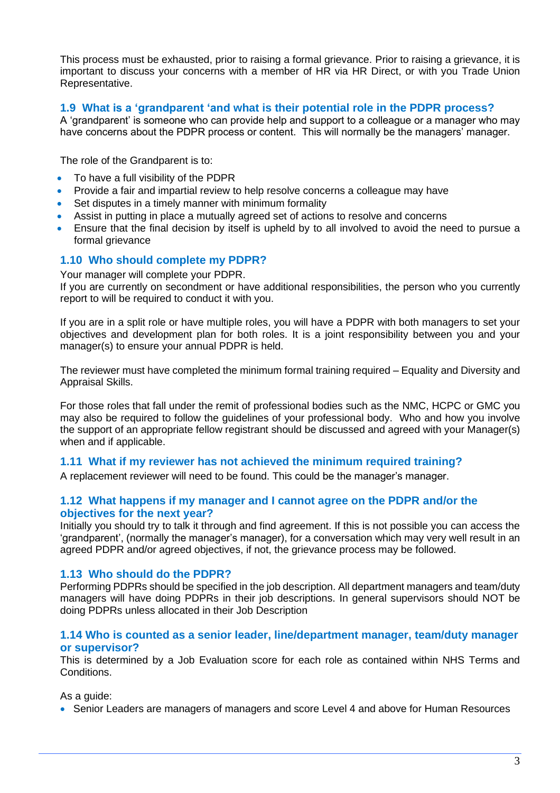This process must be exhausted, prior to raising a formal grievance. Prior to raising a grievance, it is important to discuss your concerns with a member of HR via HR Direct, or with you Trade Union Representative.

## **1.9 What is a 'grandparent 'and what is their potential role in the PDPR process?**

A 'grandparent' is someone who can provide help and support to a colleague or a manager who may have concerns about the PDPR process or content. This will normally be the managers' manager.

The role of the Grandparent is to:

- To have a full visibility of the PDPR
- Provide a fair and impartial review to help resolve concerns a colleague may have
- Set disputes in a timely manner with minimum formality
- Assist in putting in place a mutually agreed set of actions to resolve and concerns
- Ensure that the final decision by itself is upheld by to all involved to avoid the need to pursue a formal grievance

## **1.10 Who should complete my PDPR?**

Your manager will complete your PDPR.

If you are currently on secondment or have additional responsibilities, the person who you currently report to will be required to conduct it with you.

If you are in a split role or have multiple roles, you will have a PDPR with both managers to set your objectives and development plan for both roles. It is a joint responsibility between you and your manager(s) to ensure your annual PDPR is held.

The reviewer must have completed the minimum formal training required – Equality and Diversity and Appraisal Skills.

For those roles that fall under the remit of professional bodies such as the NMC, HCPC or GMC you may also be required to follow the guidelines of your professional body. Who and how you involve the support of an appropriate fellow registrant should be discussed and agreed with your Manager(s) when and if applicable.

## **1.11 What if my reviewer has not achieved the minimum required training?**

A replacement reviewer will need to be found. This could be the manager's manager.

## **1.12 What happens if my manager and I cannot agree on the PDPR and/or the objectives for the next year?**

Initially you should try to talk it through and find agreement. If this is not possible you can access the 'grandparent', (normally the manager's manager), for a conversation which may very well result in an agreed PDPR and/or agreed objectives, if not, the grievance process may be followed.

## **1.13 Who should do the PDPR?**

Performing PDPRs should be specified in the job description. All department managers and team/duty managers will have doing PDPRs in their job descriptions. In general supervisors should NOT be doing PDPRs unless allocated in their Job Description

#### **1.14 Who is counted as a senior leader, line/department manager, team/duty manager or supervisor?**

This is determined by a Job Evaluation score for each role as contained within NHS Terms and Conditions.

As a guide:

• Senior Leaders are managers of managers and score Level 4 and above for Human Resources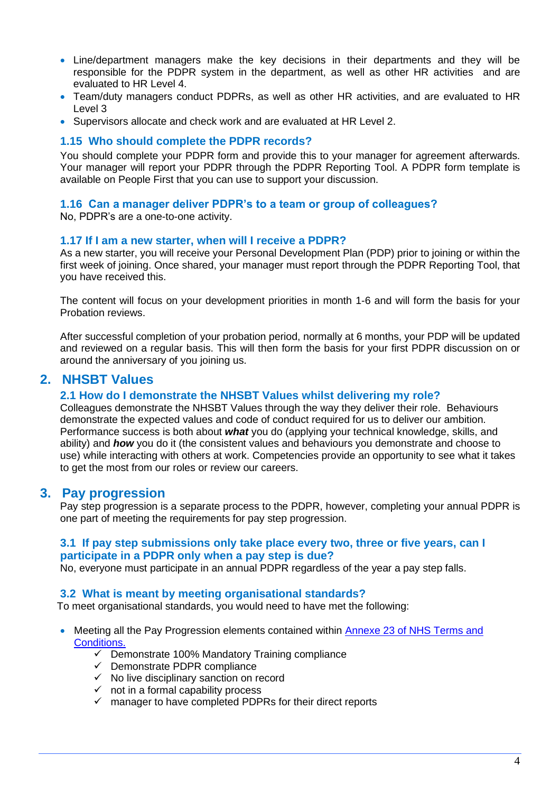- Line/department managers make the key decisions in their departments and they will be responsible for the PDPR system in the department, as well as other HR activities and are evaluated to HR Level 4.
- Team/duty managers conduct PDPRs, as well as other HR activities, and are evaluated to HR Level 3
- Supervisors allocate and check work and are evaluated at HR Level 2.

#### **1.15 Who should complete the PDPR records?**

You should complete your PDPR form and provide this to your manager for agreement afterwards. Your manager will report your PDPR through the PDPR Reporting Tool. A PDPR form template is available on People First that you can use to support your discussion.

#### **1.16 Can a manager deliver PDPR's to a team or group of colleagues?**

No, PDPR's are a one-to-one activity.

#### **1.17 If I am a new starter, when will I receive a PDPR?**

As a new starter, you will receive your Personal Development Plan (PDP) prior to joining or within the first week of joining. Once shared, your manager must report through the PDPR Reporting Tool, that you have received this.

The content will focus on your development priorities in month 1-6 and will form the basis for your Probation reviews.

After successful completion of your probation period, normally at 6 months, your PDP will be updated and reviewed on a regular basis. This will then form the basis for your first PDPR discussion on or around the anniversary of you joining us.

## **2. NHSBT Values**

#### **2.1 How do I demonstrate the NHSBT Values whilst delivering my role?**

Colleagues demonstrate the NHSBT Values through the way they deliver their role. Behaviours demonstrate the expected values and code of conduct required for us to deliver our ambition. Performance success is both about *what* you do (applying your technical knowledge, skills, and ability) and *how* you do it (the consistent values and behaviours you demonstrate and choose to use) while interacting with others at work. Competencies provide an opportunity to see what it takes to get the most from our roles or review our careers.

#### **3. Pay progression**

Pay step progression is a separate process to the PDPR, however, completing your annual PDPR is one part of meeting the requirements for pay step progression.

#### **3.1 If pay step submissions only take place every two, three or five years, can I participate in a PDPR only when a pay step is due?**

No, everyone must participate in an annual PDPR regardless of the year a pay step falls.

#### **3.2 What is meant by meeting organisational standards?**

To meet organisational standards, you would need to have met the following:

- Meeting all the Pay Progression elements contained within Annexe 23 of NHS Terms and [Conditions.](https://www.nhsemployers.org/employershandbook/tchandbook/annex-23-pay-progression-england.pdf)
	- $\checkmark$  Demonstrate 100% Mandatory Training compliance
	- $\checkmark$  Demonstrate PDPR compliance
	- $\checkmark$  No live disciplinary sanction on record
	- $\checkmark$  not in a formal capability process
	- ✓ manager to have completed PDPRs for their direct reports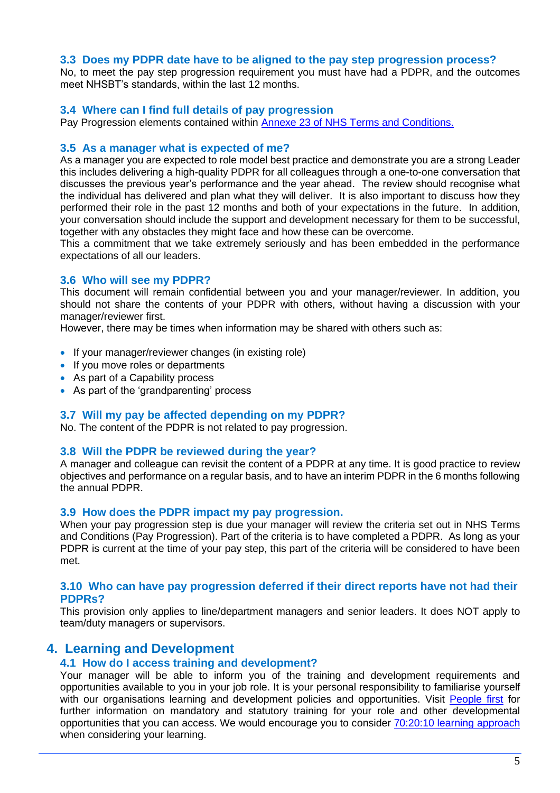#### **3.3 Does my PDPR date have to be aligned to the pay step progression process?**

No, to meet the pay step progression requirement you must have had a PDPR, and the outcomes meet NHSBT's standards, within the last 12 months.

#### **3.4 Where can I find full details of pay progression**

Pay Progression elements contained within [Annexe 23 of NHS Terms and Conditions.](https://www.nhsemployers.org/employershandbook/tchandbook/annex-23-pay-progression-england.pdf)

#### **3.5 As a manager what is expected of me?**

As a manager you are expected to role model best practice and demonstrate you are a strong Leader this includes delivering a high-quality PDPR for all colleagues through a one-to-one conversation that discusses the previous year's performance and the year ahead. The review should recognise what the individual has delivered and plan what they will deliver. It is also important to discuss how they performed their role in the past 12 months and both of your expectations in the future. In addition, your conversation should include the support and development necessary for them to be successful, together with any obstacles they might face and how these can be overcome.

This a commitment that we take extremely seriously and has been embedded in the performance expectations of all our leaders.

#### **3.6 Who will see my PDPR?**

This document will remain confidential between you and your manager/reviewer. In addition, you should not share the contents of your PDPR with others, without having a discussion with your manager/reviewer first.

However, there may be times when information may be shared with others such as:

- If your manager/reviewer changes (in existing role)
- If you move roles or departments
- As part of a Capability process
- As part of the 'grandparenting' process

#### **3.7 Will my pay be affected depending on my PDPR?**

No. The content of the PDPR is not related to pay progression.

#### **3.8 Will the PDPR be reviewed during the year?**

A manager and colleague can revisit the content of a PDPR at any time. It is good practice to review objectives and performance on a regular basis, and to have an interim PDPR in the 6 months following the annual PDPR.

#### **3.9 How does the PDPR impact my pay progression.**

When your pay progression step is due your manager will review the criteria set out in NHS Terms and Conditions (Pay Progression). Part of the criteria is to have completed a PDPR. As long as your PDPR is current at the time of your pay step, this part of the criteria will be considered to have been met.

#### **3.10 Who can have pay progression deferred if their direct reports have not had their PDPRs?**

This provision only applies to line/department managers and senior leaders. It does NOT apply to team/duty managers or supervisors.

## **4. Learning and Development**

#### **4.1 How do I access training and development?**

Your manager will be able to inform you of the training and development requirements and opportunities available to you in your job role. It is your personal responsibility to familiarise yourself with our organisations learning and development policies and opportunities. Visit [People first](https://peoplefirst.nhsbt.nhs.uk/Developing%20People%20OWD.htm) for further information on mandatory and statutory training for your role and other developmental opportunities that you can access. We would encourage you to consider [70:20:10 learning approach](https://peoplefirst.nhsbt.nhs.uk/Developing%20People%20OWD.htm) when considering your learning.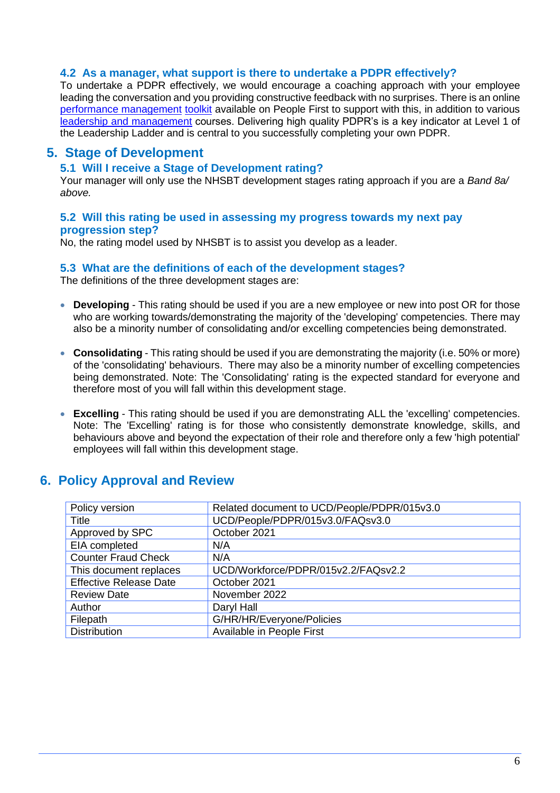#### **4.2 As a manager, what support is there to undertake a PDPR effectively?**

To undertake a PDPR effectively, we would encourage a coaching approach with your employee leading the conversation and you providing constructive feedback with no surprises. There is an online [performance management](https://peoplefirst.nhsbt.nhs.uk/managing-performance.htm) [toolkit](https://peoplefirst.nhsbt.nhs.uk/managing-performance.htm) available on People First to support with this, in addition to various [leadership and management](https://peoplefirst.nhsbt.nhs.uk/leadership-and-management-2.htm) courses. Delivering high quality PDPR's is a key indicator at Level 1 of the Leadership Ladder and is central to you successfully completing your own PDPR.

# **5. Stage of Development**

#### **5.1 Will I receive a Stage of Development rating?**

Your manager will only use the NHSBT development stages rating approach if you are a *Band 8a/ above.*

#### **5.2 Will this rating be used in assessing my progress towards my next pay progression step?**

No, the rating model used by NHSBT is to assist you develop as a leader.

#### **5.3 What are the definitions of each of the development stages?**

The definitions of the three development stages are:

- **Developing**  This rating should be used if you are a new employee or new into post OR for those who are working towards/demonstrating the majority of the 'developing' competencies. There may also be a minority number of consolidating and/or excelling competencies being demonstrated.
- **Consolidating** This rating should be used if you are demonstrating the majority (i.e. 50% or more) of the 'consolidating' behaviours. There may also be a minority number of excelling competencies being demonstrated. Note: The 'Consolidating' rating is the expected standard for everyone and therefore most of you will fall within this development stage.
- **Excelling** This rating should be used if you are demonstrating ALL the 'excelling' competencies. Note: The 'Excelling' rating is for those who consistently demonstrate knowledge, skills, and behaviours above and beyond the expectation of their role and therefore only a few 'high potential' employees will fall within this development stage.

# **6. Policy Approval and Review**

| Policy version                | Related document to UCD/People/PDPR/015v3.0 |
|-------------------------------|---------------------------------------------|
| Title                         | UCD/People/PDPR/015v3.0/FAQsv3.0            |
| Approved by SPC               | October 2021                                |
| EIA completed                 | N/A                                         |
| <b>Counter Fraud Check</b>    | N/A                                         |
| This document replaces        | UCD/Workforce/PDPR/015v2.2/FAQsv2.2         |
| <b>Effective Release Date</b> | October 2021                                |
| <b>Review Date</b>            | November 2022                               |
| Author                        | Daryl Hall                                  |
| Filepath                      | G/HR/HR/Everyone/Policies                   |
| Distribution                  | Available in People First                   |